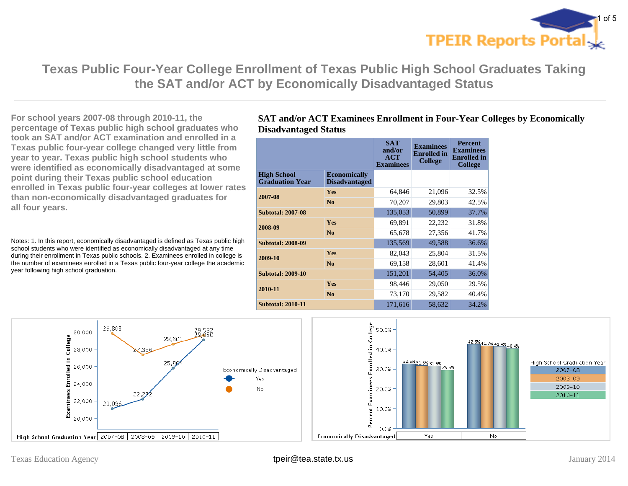

**Texas Public Four-Year College Enrollment of Texas Public High School Graduates Taking the SAT and/or ACT by Economically Disadvantaged Status**

**For school years 2007-08 through 2010-11, the percentage of Texas public high school graduates who took an SAT and/or ACT examination and enrolled in a Texas public four-year college changed very little from year to year. Texas public high school students who were identified as economically disadvantaged at some point during their Texas public school education enrolled in Texas public four-year colleges at lower rates than non-economically disadvantaged graduates for all four years.**

Notes: 1. In this report, economically disadvantaged is defined as Texas public high school students who were identified as economically disadvantaged at any time during their enrollment in Texas public schools. 2. Examinees enrolled in college is the number of examinees enrolled in a Texas public four-year college the academic year following high school graduation.

### **SAT and/or ACT Examinees Enrollment in Four-Year Colleges by Economically Disadvantaged Status**

|                                              |                                             | <b>SAT</b><br>and/or<br>ACT<br><b>Examinees</b> | <b>Examinees</b><br><b>Enrolled</b> in<br><b>College</b> | <b>Percent</b><br><b>Examinees</b><br><b>Enrolled</b> in<br><b>College</b> |
|----------------------------------------------|---------------------------------------------|-------------------------------------------------|----------------------------------------------------------|----------------------------------------------------------------------------|
| <b>High School</b><br><b>Graduation Year</b> | <b>Economically</b><br><b>Disadvantaged</b> |                                                 |                                                          |                                                                            |
| 2007-08                                      | <b>Yes</b>                                  | 64,846                                          | 21,096                                                   | 32.5%                                                                      |
|                                              | No                                          | 70,207                                          | 29,803                                                   | 42.5%                                                                      |
| <b>Subtotal: 2007-08</b>                     |                                             | 135,053                                         | 50,899                                                   | 37.7%                                                                      |
| 2008-09                                      | Yes                                         | 69,891                                          | 22,232                                                   | 31.8%                                                                      |
|                                              | N <sub>0</sub>                              | 65,678                                          | 27,356                                                   | 41.7%                                                                      |
| <b>Subtotal: 2008-09</b>                     |                                             | 135,569                                         | 49,588                                                   | 36.6%                                                                      |
| 2009-10                                      | <b>Yes</b>                                  | 82,043                                          | 25,804                                                   | 31.5%                                                                      |
|                                              | N <sub>0</sub>                              | 69,158                                          | 28,601                                                   | 41.4%                                                                      |
| <b>Subtotal: 2009-10</b>                     |                                             | 151,201                                         | 54,405                                                   | 36.0%                                                                      |
| 2010-11                                      | Yes                                         | 98,446                                          | 29,050                                                   | 29.5%                                                                      |
|                                              | No                                          | 73,170                                          | 29,582                                                   | 40.4%                                                                      |
| <b>Subtotal: 2010-11</b>                     |                                             | 171,616                                         | 58,632                                                   | 34.2%                                                                      |

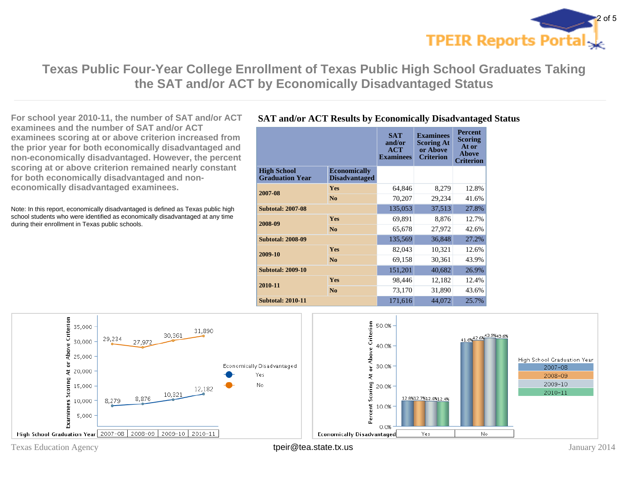

**Texas Public Four-Year College Enrollment of Texas Public High School Graduates Taking the SAT and/or ACT by Economically Disadvantaged Status**

**For school year 2010-11, the number of SAT and/or ACT examinees and the number of SAT and/or ACT examinees scoring at or above criterion increased from the prior year for both economically disadvantaged and non-economically disadvantaged. However, the percent scoring at or above criterion remained nearly constant for both economically disadvantaged and noneconomically disadvantaged examinees.**

Note: In this report, economically disadvantaged is defined as Texas public high school students who were identified as economically disadvantaged at any time during their enrollment in Texas public schools.

### **SAT and/or ACT Results by Economically Disadvantaged Status**

|                                              |                                             | <b>SAT</b><br>and/or<br>ACT<br><b>Examinees</b> | <b>Examinees</b><br><b>Scoring At</b><br>or Above<br><b>Criterion</b> | <b>Percent</b><br><b>Scoring</b><br>At or<br><b>Above</b><br><b>Criterion</b> |
|----------------------------------------------|---------------------------------------------|-------------------------------------------------|-----------------------------------------------------------------------|-------------------------------------------------------------------------------|
| <b>High School</b><br><b>Graduation Year</b> | <b>Economically</b><br><b>Disadvantaged</b> |                                                 |                                                                       |                                                                               |
| 2007-08                                      | <b>Yes</b>                                  | 64,846                                          | 8,279                                                                 | 12.8%                                                                         |
|                                              | No                                          | 70,207                                          | 29,234                                                                | 41.6%                                                                         |
| <b>Subtotal: 2007-08</b>                     |                                             | 135,053                                         | 37,513                                                                | 27.8%                                                                         |
| 2008-09                                      | <b>Yes</b>                                  | 69,891                                          | 8,876                                                                 | 12.7%                                                                         |
|                                              | No                                          | 65,678                                          | 27,972                                                                | 42.6%                                                                         |
| <b>Subtotal: 2008-09</b>                     |                                             | 135,569                                         | 36,848                                                                | 27.2%                                                                         |
| 2009-10                                      | Yes                                         | 82,043                                          | 10,321                                                                | 12.6%                                                                         |
|                                              | No                                          | 69,158                                          | 30,361                                                                | 43.9%                                                                         |
| <b>Subtotal: 2009-10</b>                     |                                             | 151,201                                         | 40,682                                                                | 26.9%                                                                         |
| 2010-11                                      | <b>Yes</b>                                  | 98,446                                          | 12,182                                                                | 12.4%                                                                         |
|                                              | N <sub>0</sub>                              | 73,170                                          | 31,890                                                                | 43.6%                                                                         |
| <b>Subtotal: 2010-11</b>                     |                                             | 171,616                                         | 44,072                                                                | 25.7%                                                                         |



Texas Education Agency **their@tea.state.tx.us** their the state of the state of the state of the state of the state of the state of the state of the state of the state of the state of the state of the state of the state of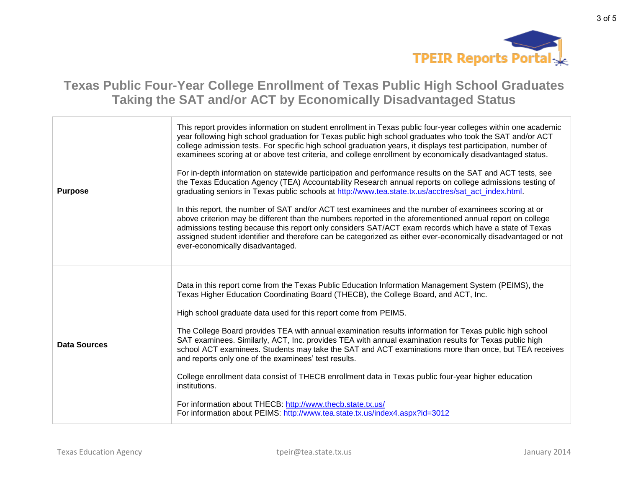

# **Texas Public Four-Year College Enrollment of Texas Public High School Graduates Taking the SAT and/or ACT by Economically Disadvantaged Status**

| <b>Purpose</b> | This report provides information on student enrollment in Texas public four-year colleges within one academic<br>year following high school graduation for Texas public high school graduates who took the SAT and/or ACT<br>college admission tests. For specific high school graduation years, it displays test participation, number of<br>examinees scoring at or above test criteria, and college enrollment by economically disadvantaged status.<br>For in-depth information on statewide participation and performance results on the SAT and ACT tests, see<br>the Texas Education Agency (TEA) Accountability Research annual reports on college admissions testing of<br>graduating seniors in Texas public schools at http://www.tea.state.tx.us/acctres/sat_act_index.html.<br>In this report, the number of SAT and/or ACT test examinees and the number of examinees scoring at or<br>above criterion may be different than the numbers reported in the aforementioned annual report on college<br>admissions testing because this report only considers SAT/ACT exam records which have a state of Texas<br>assigned student identifier and therefore can be categorized as either ever-economically disadvantaged or not<br>ever-economically disadvantaged. |
|----------------|-------------------------------------------------------------------------------------------------------------------------------------------------------------------------------------------------------------------------------------------------------------------------------------------------------------------------------------------------------------------------------------------------------------------------------------------------------------------------------------------------------------------------------------------------------------------------------------------------------------------------------------------------------------------------------------------------------------------------------------------------------------------------------------------------------------------------------------------------------------------------------------------------------------------------------------------------------------------------------------------------------------------------------------------------------------------------------------------------------------------------------------------------------------------------------------------------------------------------------------------------------------------------------|
| Data Sources   | Data in this report come from the Texas Public Education Information Management System (PEIMS), the<br>Texas Higher Education Coordinating Board (THECB), the College Board, and ACT, Inc.<br>High school graduate data used for this report come from PEIMS.<br>The College Board provides TEA with annual examination results information for Texas public high school<br>SAT examinees. Similarly, ACT, Inc. provides TEA with annual examination results for Texas public high<br>school ACT examinees. Students may take the SAT and ACT examinations more than once, but TEA receives<br>and reports only one of the examinees' test results.<br>College enrollment data consist of THECB enrollment data in Texas public four-year higher education<br>institutions.<br>For information about THECB: http://www.thecb.state.tx.us/<br>For information about PEIMS: http://www.tea.state.tx.us/index4.aspx?id=3012                                                                                                                                                                                                                                                                                                                                                      |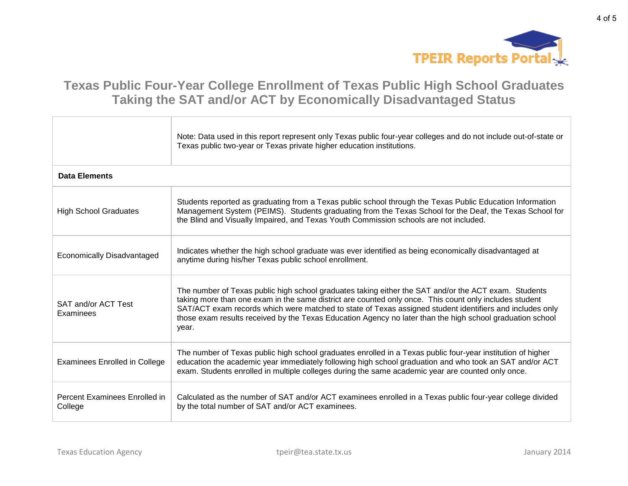

# **Texas Public Four-Year College Enrollment of Texas Public High School Graduates Taking the SAT and/or ACT by Economically Disadvantaged Status**

|                                          | Note: Data used in this report represent only Texas public four-year colleges and do not include out-of-state or<br>Texas public two-year or Texas private higher education institutions.                                                                                                                                                                                                                                                        |  |  |
|------------------------------------------|--------------------------------------------------------------------------------------------------------------------------------------------------------------------------------------------------------------------------------------------------------------------------------------------------------------------------------------------------------------------------------------------------------------------------------------------------|--|--|
| <b>Data Elements</b>                     |                                                                                                                                                                                                                                                                                                                                                                                                                                                  |  |  |
| <b>High School Graduates</b>             | Students reported as graduating from a Texas public school through the Texas Public Education Information<br>Management System (PEIMS). Students graduating from the Texas School for the Deaf, the Texas School for<br>the Blind and Visually Impaired, and Texas Youth Commission schools are not included.                                                                                                                                    |  |  |
| <b>Economically Disadvantaged</b>        | Indicates whether the high school graduate was ever identified as being economically disadvantaged at<br>anytime during his/her Texas public school enrollment.                                                                                                                                                                                                                                                                                  |  |  |
| SAT and/or ACT Test<br>Examinees         | The number of Texas public high school graduates taking either the SAT and/or the ACT exam. Students<br>taking more than one exam in the same district are counted only once. This count only includes student<br>SAT/ACT exam records which were matched to state of Texas assigned student identifiers and includes only<br>those exam results received by the Texas Education Agency no later than the high school graduation school<br>year. |  |  |
| <b>Examinees Enrolled in College</b>     | The number of Texas public high school graduates enrolled in a Texas public four-year institution of higher<br>education the academic year immediately following high school graduation and who took an SAT and/or ACT<br>exam. Students enrolled in multiple colleges during the same academic year are counted only once.                                                                                                                      |  |  |
| Percent Examinees Enrolled in<br>College | Calculated as the number of SAT and/or ACT examinees enrolled in a Texas public four-year college divided<br>by the total number of SAT and/or ACT examinees.                                                                                                                                                                                                                                                                                    |  |  |